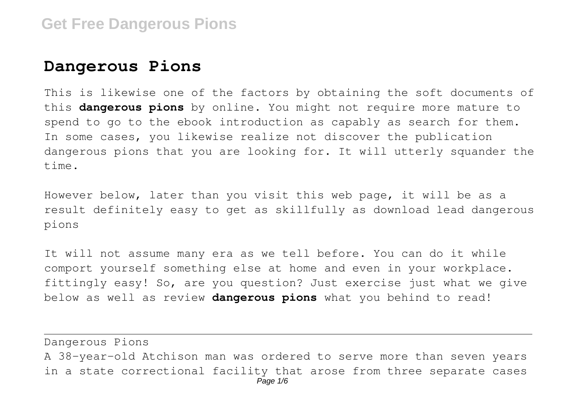## **Dangerous Pions**

This is likewise one of the factors by obtaining the soft documents of this **dangerous pions** by online. You might not require more mature to spend to go to the ebook introduction as capably as search for them. In some cases, you likewise realize not discover the publication dangerous pions that you are looking for. It will utterly squander the time.

However below, later than you visit this web page, it will be as a result definitely easy to get as skillfully as download lead dangerous pions

It will not assume many era as we tell before. You can do it while comport yourself something else at home and even in your workplace. fittingly easy! So, are you question? Just exercise just what we give below as well as review **dangerous pions** what you behind to read!

Dangerous Pions A 38-year-old Atchison man was ordered to serve more than seven years in a state correctional facility that arose from three separate cases Page 1/6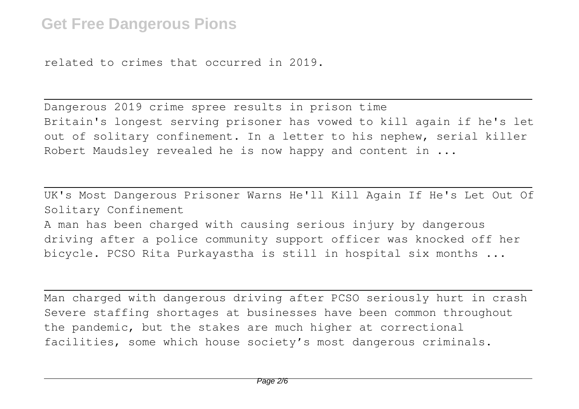related to crimes that occurred in 2019.

Dangerous 2019 crime spree results in prison time Britain's longest serving prisoner has vowed to kill again if he's let out of solitary confinement. In a letter to his nephew, serial killer Robert Maudsley revealed he is now happy and content in ...

UK's Most Dangerous Prisoner Warns He'll Kill Again If He's Let Out Of Solitary Confinement

A man has been charged with causing serious injury by dangerous driving after a police community support officer was knocked off her bicycle. PCSO Rita Purkayastha is still in hospital six months ...

Man charged with dangerous driving after PCSO seriously hurt in crash Severe staffing shortages at businesses have been common throughout the pandemic, but the stakes are much higher at correctional facilities, some which house society's most dangerous criminals.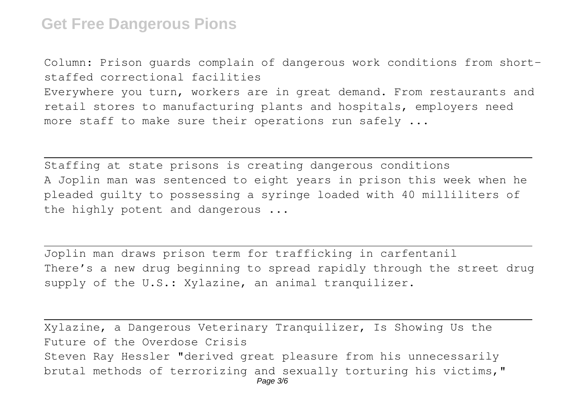Column: Prison guards complain of dangerous work conditions from shortstaffed correctional facilities Everywhere you turn, workers are in great demand. From restaurants and retail stores to manufacturing plants and hospitals, employers need more staff to make sure their operations run safely ...

Staffing at state prisons is creating dangerous conditions A Joplin man was sentenced to eight years in prison this week when he pleaded guilty to possessing a syringe loaded with 40 milliliters of the highly potent and dangerous ...

Joplin man draws prison term for trafficking in carfentanil There's a new drug beginning to spread rapidly through the street drug supply of the U.S.: Xylazine, an animal tranquilizer.

Xylazine, a Dangerous Veterinary Tranquilizer, Is Showing Us the Future of the Overdose Crisis Steven Ray Hessler "derived great pleasure from his unnecessarily brutal methods of terrorizing and sexually torturing his victims," Page 3/6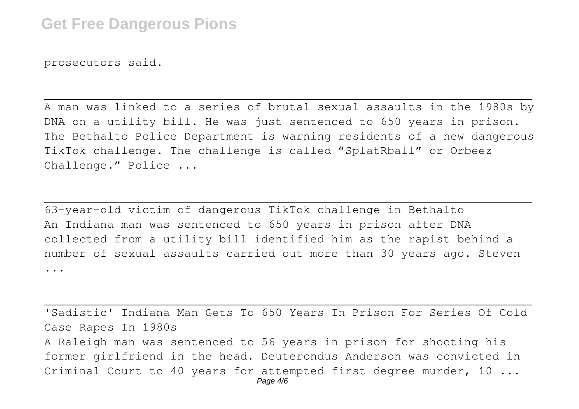prosecutors said.

A man was linked to a series of brutal sexual assaults in the 1980s by DNA on a utility bill. He was just sentenced to 650 years in prison. The Bethalto Police Department is warning residents of a new dangerous TikTok challenge. The challenge is called "SplatRball" or Orbeez Challenge." Police ...

63-year-old victim of dangerous TikTok challenge in Bethalto An Indiana man was sentenced to 650 years in prison after DNA collected from a utility bill identified him as the rapist behind a number of sexual assaults carried out more than 30 years ago. Steven ...

'Sadistic' Indiana Man Gets To 650 Years In Prison For Series Of Cold Case Rapes In 1980s A Raleigh man was sentenced to 56 years in prison for shooting his former girlfriend in the head. Deuterondus Anderson was convicted in Criminal Court to 40 years for attempted first-degree murder, 10 ... Page 4/6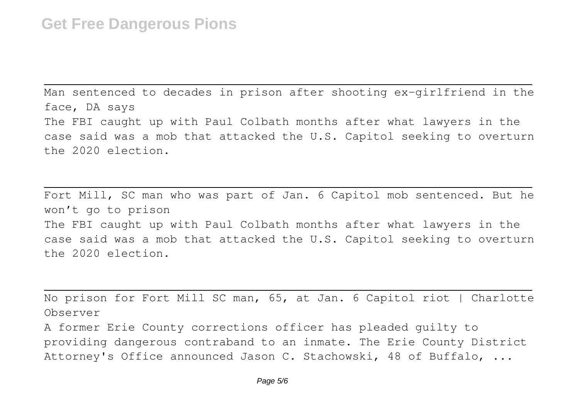Man sentenced to decades in prison after shooting ex-girlfriend in the face, DA says The FBI caught up with Paul Colbath months after what lawyers in the case said was a mob that attacked the U.S. Capitol seeking to overturn the 2020 election.

Fort Mill, SC man who was part of Jan. 6 Capitol mob sentenced. But he won't go to prison The FBI caught up with Paul Colbath months after what lawyers in the case said was a mob that attacked the U.S. Capitol seeking to overturn the 2020 election.

No prison for Fort Mill SC man, 65, at Jan. 6 Capitol riot | Charlotte Observer

A former Erie County corrections officer has pleaded guilty to providing dangerous contraband to an inmate. The Erie County District Attorney's Office announced Jason C. Stachowski, 48 of Buffalo, ...